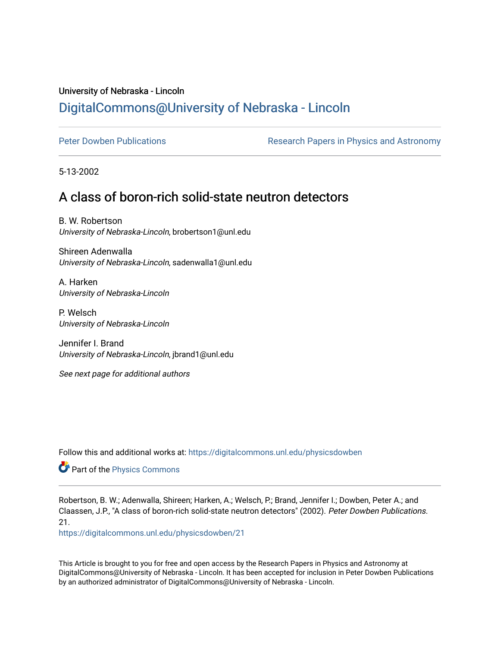## University of Nebraska - Lincoln [DigitalCommons@University of Nebraska - Lincoln](https://digitalcommons.unl.edu/)

[Peter Dowben Publications](https://digitalcommons.unl.edu/physicsdowben) **Research Papers in Physics and Astronomy** 

5-13-2002

## A class of boron-rich solid-state neutron detectors

B. W. Robertson University of Nebraska-Lincoln, brobertson1@unl.edu

Shireen Adenwalla University of Nebraska-Lincoln, sadenwalla1@unl.edu

A. Harken University of Nebraska-Lincoln

P. Welsch University of Nebraska-Lincoln

Jennifer I. Brand University of Nebraska-Lincoln, jbrand1@unl.edu

See next page for additional authors

Follow this and additional works at: [https://digitalcommons.unl.edu/physicsdowben](https://digitalcommons.unl.edu/physicsdowben?utm_source=digitalcommons.unl.edu%2Fphysicsdowben%2F21&utm_medium=PDF&utm_campaign=PDFCoverPages) 

**Part of the [Physics Commons](http://network.bepress.com/hgg/discipline/193?utm_source=digitalcommons.unl.edu%2Fphysicsdowben%2F21&utm_medium=PDF&utm_campaign=PDFCoverPages)** 

Robertson, B. W.; Adenwalla, Shireen; Harken, A.; Welsch, P.; Brand, Jennifer I.; Dowben, Peter A.; and Claassen, J.P., "A class of boron-rich solid-state neutron detectors" (2002). Peter Dowben Publications. 21.

[https://digitalcommons.unl.edu/physicsdowben/21](https://digitalcommons.unl.edu/physicsdowben/21?utm_source=digitalcommons.unl.edu%2Fphysicsdowben%2F21&utm_medium=PDF&utm_campaign=PDFCoverPages)

This Article is brought to you for free and open access by the Research Papers in Physics and Astronomy at DigitalCommons@University of Nebraska - Lincoln. It has been accepted for inclusion in Peter Dowben Publications by an authorized administrator of DigitalCommons@University of Nebraska - Lincoln.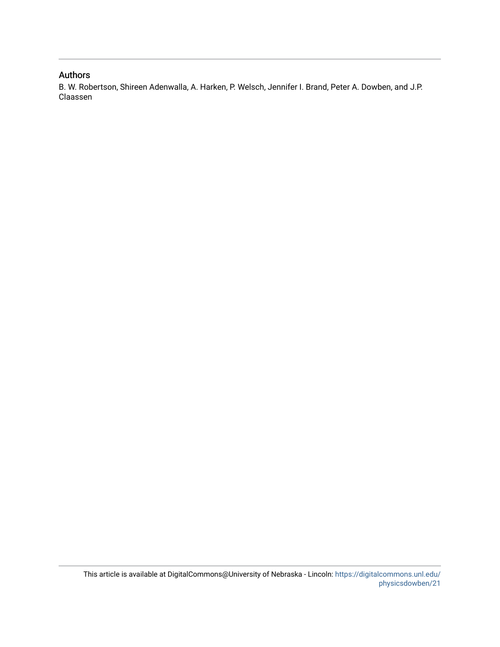## Authors

B. W. Robertson, Shireen Adenwalla, A. Harken, P. Welsch, Jennifer I. Brand, Peter A. Dowben, and J.P. Claassen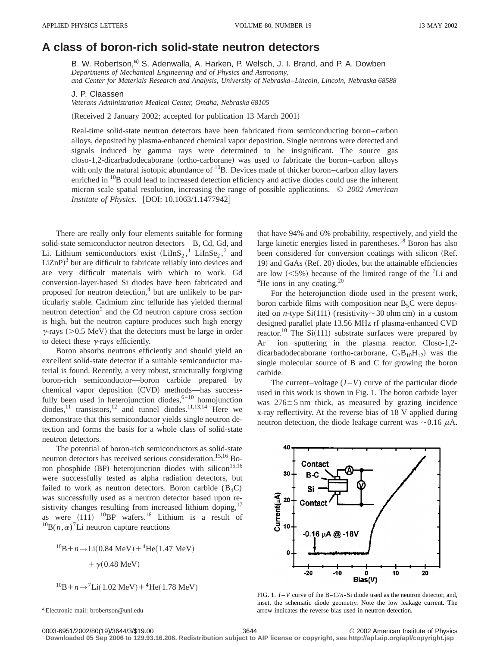## **A class of boron-rich solid-state neutron detectors**

B. W. Robertson,<sup>a)</sup> S. Adenwalla, A. Harken, P. Welsch, J. I. Brand, and P. A. Dowben *Departments of Mechanical Engineering and of Physics and Astronomy, and Center for Materials Research and Analysis, University of Nebraska*–*Lincoln, Lincoln, Nebraska 68588*

J. P. Claassen

*Veterans Administration Medical Center, Omaha, Nebraska 68105*

(Received 2 January 2002; accepted for publication 13 March 2001)

Real-time solid-state neutron detectors have been fabricated from semiconducting boron–carbon alloys, deposited by plasma-enhanced chemical vapor deposition. Single neutrons were detected and signals induced by gamma rays were determined to be insignificant. The source gas closo-1,2-dicarbadodecaborane (ortho-carborane) was used to fabricate the boron–carbon alloys with only the natural isotopic abundance of  ${}^{10}B$ . Devices made of thicker boron–carbon alloy layers enriched in <sup>10</sup>B could lead to increased detection efficiency and active diodes could use the inherent micron scale spatial resolution, increasing the range of possible applications. © *2002 American Institute of Physics.* [DOI: 10.1063/1.1477942]

There are really only four elements suitable for forming solid-state semiconductor neutron detectors—B, Cd, Gd, and Li. Lithium semiconductors exist  $(LilnS<sub>2</sub>, <sup>1</sup> LiInSe<sub>2</sub>, <sup>2</sup>$  and  $LiZnP$ <sup>3</sup> but are difficult to fabricate reliably into devices and are very difficult materials with which to work. Gd conversion-layer-based Si diodes have been fabricated and proposed for neutron detection, $4$  but are unlikely to be particularly stable. Cadmium zinc telluride has yielded thermal neutron detection $<sup>5</sup>$  and the Cd neutron capture cross section</sup> is high, but the neutron capture produces such high energy  $\gamma$ -rays ( $>0.5$  MeV) that the detectors must be large in order to detect these  $\gamma$ -rays efficiently.

Boron absorbs neutrons efficiently and should yield an excellent solid-state detector if a suitable semiconductor material is found. Recently, a very robust, structurally forgiving boron-rich semiconductor—boron carbide prepared by chemical vapor deposition (CVD) methods—has successfully been used in heterojunction diodes,  $6-10$  homojunction diodes,<sup>11</sup> transistors,<sup>12</sup> and tunnel diodes.<sup>11,13,14</sup> Here we demonstrate that this semiconductor yields single neutron detection and forms the basis for a whole class of solid-state neutron detectors.

The potential of boron-rich semiconductors as solid-state neutron detectors has received serious consideration.<sup>15,16</sup> Boron phosphide (BP) heterojunction diodes with silicon<sup>15,16</sup> were successfully tested as alpha radiation detectors, but failed to work as neutron detectors. Boron carbide  $(B_4C)$ was successfully used as a neutron detector based upon resistivity changes resulting from increased lithium doping,<sup>17</sup> as were  $(111)$  <sup>10</sup>BP wafers.<sup>16</sup> Lithium is a result of  ${}^{10}B(n,\alpha)^7$ Li neutron capture reactions

 $^{10}B + n \rightarrow Li(0.84 \text{ MeV}) + ^4\text{He}(1.47 \text{ MeV})$  $+ \gamma(0.48 \text{ MeV})$ 

$$
{}^{10}\text{B} + n \rightarrow {}^{7}\text{Li}(1.02 \text{ MeV}) + {}^{4}\text{He}(1.78 \text{ MeV})
$$

that have 94% and 6% probability, respectively, and yield the large kinetic energies listed in parentheses. $18$  Boron has also been considered for conversion coatings with silicon (Ref. 19) and GaAs (Ref. 20) diodes, but the attainable efficiencies are low  $(<5\%)$  because of the limited range of the <sup>7</sup>Li and  $^{4}$ He ions in any coating.<sup>20</sup>

For the heterojunction diode used in the present work, boron carbide films with composition near  $B_5C$  were deposited on *n*-type Si(111) (resistivity  $\sim$  30 ohm cm) in a custom designed parallel plate 13.56 MHz rf plasma-enhanced CVD reactor.<sup>10</sup> The Si(111) substrate surfaces were prepared by  $Ar^+$  ion sputtering in the plasma reactor. Closo-1,2dicarbadodecaborane (ortho-carborane,  $C_2B_{10}H_{12}$ ) was the single molecular source of B and C for growing the boron carbide.

The current–voltage  $(I - V)$  curve of the particular diode used in this work is shown in Fig. 1. The boron carbide layer was  $276 \pm 5$  nm thick, as measured by grazing incidence x-ray reflectivity. At the reverse bias of 18 V applied during neutron detection, the diode leakage current was  $\sim 0.16 \mu A$ .



FIG. 1.  $I - V$  curve of the B-C/*n*-Si diode used as the neutron detector, and, inset, the schematic diode geometry. Note the low leakage current. The arrow indicates the reverse bias used in neutron detection.

**Downloaded 05 Sep 2006 to 129.93.16.206. Redistribution subject to AIP license or copyright, see http://apl.aip.org/apl/copyright.jsp**

a)Electronic mail: brobertson@unl.edu

<sup>0003-6951/2002/80(19)/3644/3/\$19.00 © 2002</sup> American Institute of Physics 3644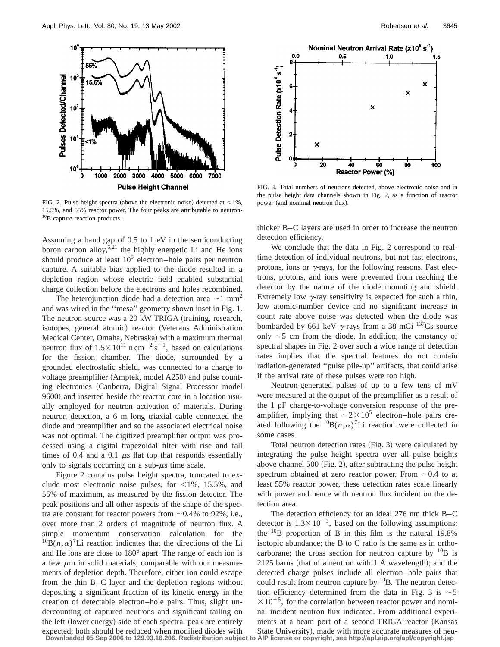

FIG. 2. Pulse height spectra (above the electronic noise) detected at  $\leq$ 1%, 15.5%, and 55% reactor power. The four peaks are attributable to neutron-<sup>10</sup>B capture reaction products.

Assuming a band gap of 0.5 to 1 eV in the semiconducting boron carbon alloy,  $6,21$  the highly energetic Li and He ions should produce at least  $10<sup>5</sup>$  electron–hole pairs per neutron capture. A suitable bias applied to the diode resulted in a depletion region whose electric field enabled substantial charge collection before the electrons and holes recombined.

The heterojunction diode had a detection area  $\sim$ 1 mm<sup>2</sup> and was wired in the ''mesa'' geometry shown inset in Fig. 1. The neutron source was a 20 kW TRIGA (training, research, isotopes, general atomic) reactor (Veterans Administration Medical Center, Omaha, Nebraska) with a maximum thermal neutron flux of  $1.5 \times 10^{11}$  n cm<sup>-2</sup> s<sup>-1</sup>, based on calculations for the fission chamber. The diode, surrounded by a grounded electrostatic shield, was connected to a charge to voltage preamplifier (Amptek, model A250) and pulse counting electronics (Canberra, Digital Signal Processor model 9600) and inserted beside the reactor core in a location usually employed for neutron activation of materials. During neutron detection, a 6 m long triaxial cable connected the diode and preamplifier and so the associated electrical noise was not optimal. The digitized preamplifier output was processed using a digital trapezoidal filter with rise and fall times of 0.4 and a 0.1  $\mu$ s flat top that responds essentially only to signals occurring on a sub- $\mu$ s time scale.

Figure 2 contains pulse height spectra, truncated to exclude most electronic noise pulses, for  $\leq 1\%$ , 15.5%, and 55% of maximum, as measured by the fission detector. The peak positions and all other aspects of the shape of the spectra are constant for reactor powers from  $\sim 0.4\%$  to 92%, i.e., over more than 2 orders of magnitude of neutron flux. A simple momentum conservation calculation for the  ${}^{10}B(n,\alpha)$ <sup>7</sup>Li reaction indicates that the directions of the Li and He ions are close to 180° apart. The range of each ion is a few  $\mu$ m in solid materials, comparable with our measurements of depletion depth. Therefore, either ion could escape from the thin B–C layer and the depletion regions without depositing a significant fraction of its kinetic energy in the creation of detectable electron–hole pairs. Thus, slight undercounting of captured neutrons and significant tailing on the left (lower energy) side of each spectral peak are entirely expected; both should be reduced when modified diodes with



FIG. 3. Total numbers of neutrons detected, above electronic noise and in the pulse height data channels shown in Fig. 2, as a function of reactor power (and nominal neutron flux).

thicker B–C layers are used in order to increase the neutron detection efficiency.

We conclude that the data in Fig. 2 correspond to realtime detection of individual neutrons, but not fast electrons, protons, ions or  $\gamma$ -rays, for the following reasons. Fast electrons, protons, and ions were prevented from reaching the detector by the nature of the diode mounting and shield. Extremely low  $\gamma$ -ray sensitivity is expected for such a thin, low atomic-number device and no significant increase in count rate above noise was detected when the diode was bombarded by 661 keV  $\gamma$ -rays from a 38 mCi  $^{137}$ Cs source only  $\sim$ 5 cm from the diode. In addition, the constancy of spectral shapes in Fig. 2 over such a wide range of detection rates implies that the spectral features do not contain radiation-generated ''pulse pile-up'' artifacts, that could arise if the arrival rate of these pulses were too high.

Neutron-generated pulses of up to a few tens of mV were measured at the output of the preamplifier as a result of the 1 pF charge-to-voltage conversion response of the preamplifier, implying that  $\sim 2 \times 10^5$  electron–hole pairs created following the  ${}^{10}B(n,\alpha)^{7}Li$  reaction were collected in some cases.

Total neutron detection rates  $(Fig. 3)$  were calculated by integrating the pulse height spectra over all pulse heights above channel  $500$  (Fig. 2), after subtracting the pulse height spectrum obtained at zero reactor power. From  $\sim 0.4$  to at least 55% reactor power, these detection rates scale linearly with power and hence with neutron flux incident on the detection area.

The detection efficiency for an ideal 276 nm thick B–C detector is  $1.3 \times 10^{-3}$ , based on the following assumptions: the  $^{10}$ B proportion of B in this film is the natural 19.8% isotopic abundance; the B to C ratio is the same as in orthocarborane; the cross section for neutron capture by  $^{10}B$  is 2125 barns (that of a neutron with 1 Å wavelength); and the detected charge pulses include all electron–hole pairs that could result from neutron capture by  $^{10}B$ . The neutron detection efficiency determined from the data in Fig. 3 is  $\sim$  5  $\times 10^{-5}$ , for the correlation between reactor power and nominal incident neutron flux indicated. From additional experiments at a beam port of a second TRIGA reactor (Kansas State University), made with more accurate measures of neu-

**Downloaded 05 Sep 2006 to 129.93.16.206. Redistribution subject to AIP license or copyright, see http://apl.aip.org/apl/copyright.jsp**